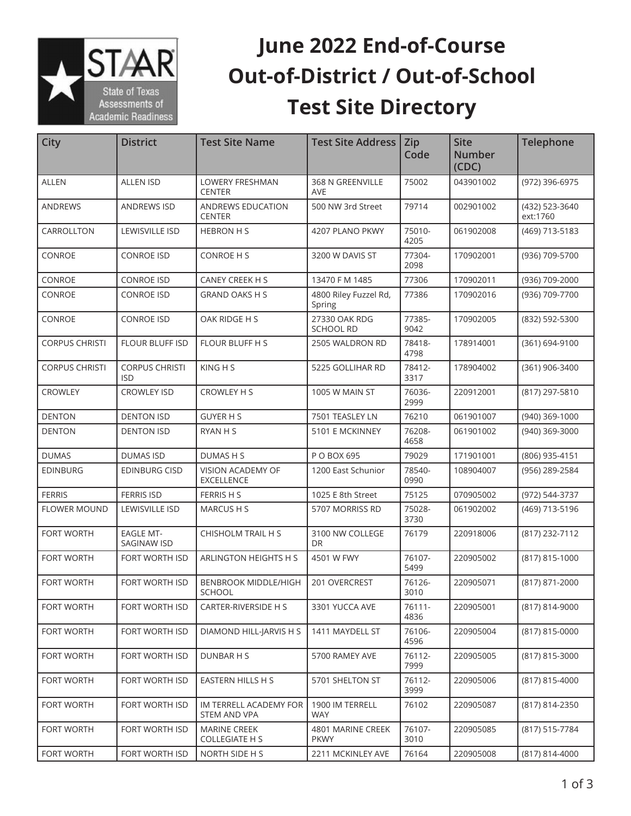

## **June 2022 End-of-Course Out-of-District / Out-of-School Test Site Directory**

| <b>City</b>           | <b>District</b>                     | <b>Test Site Name</b>                        | Test Site Address   Zip           | Code           | <b>Site</b><br><b>Number</b><br>(CDC) | <b>Telephone</b>           |
|-----------------------|-------------------------------------|----------------------------------------------|-----------------------------------|----------------|---------------------------------------|----------------------------|
| <b>ALLEN</b>          | <b>ALLEN ISD</b>                    | <b>LOWERY FRESHMAN</b><br><b>CENTER</b>      | 368 N GREENVILLE<br><b>AVE</b>    | 75002          | 043901002                             | (972) 396-6975             |
| <b>ANDREWS</b>        | <b>ANDREWS ISD</b>                  | ANDREWS EDUCATION<br><b>CENTER</b>           | 500 NW 3rd Street                 | 79714          | 002901002                             | (432) 523-3640<br>ext:1760 |
| CARROLLTON            | LEWISVILLE ISD                      | <b>HEBRON H S</b>                            | 4207 PLANO PKWY                   | 75010-<br>4205 | 061902008                             | (469) 713-5183             |
| CONROE                | <b>CONROE ISD</b>                   | <b>CONROE H S</b>                            | 3200 W DAVIS ST                   | 77304-<br>2098 | 170902001                             | (936) 709-5700             |
| CONROE                | <b>CONROE ISD</b>                   | CANEY CREEK H S                              | 13470 F M 1485                    | 77306          | 170902011                             | (936) 709-2000             |
| CONROE                | <b>CONROE ISD</b>                   | <b>GRAND OAKS H S</b>                        | 4800 Riley Fuzzel Rd,<br>Spring   | 77386          | 170902016                             | (936) 709-7700             |
| CONROE                | <b>CONROE ISD</b>                   | OAK RIDGE H S                                | 27330 OAK RDG<br><b>SCHOOL RD</b> | 77385-<br>9042 | 170902005                             | (832) 592-5300             |
| <b>CORPUS CHRISTI</b> | FLOUR BLUFF ISD                     | <b>FLOUR BLUFF H S</b>                       | 2505 WALDRON RD                   | 78418-<br>4798 | 178914001                             | (361) 694-9100             |
| <b>CORPUS CHRISTI</b> | <b>CORPUS CHRISTI</b><br><b>ISD</b> | KING H S                                     | 5225 GOLLIHAR RD                  | 78412-<br>3317 | 178904002                             | (361) 906-3400             |
| CROWLEY               | <b>CROWLEY ISD</b>                  | <b>CROWLEY H S</b>                           | 1005 W MAIN ST                    | 76036-<br>2999 | 220912001                             | (817) 297-5810             |
| <b>DENTON</b>         | <b>DENTON ISD</b>                   | <b>GUYER H S</b>                             | 7501 TEASLEY LN                   | 76210          | 061901007                             | (940) 369-1000             |
| <b>DENTON</b>         | <b>DENTON ISD</b>                   | RYAN H S                                     | 5101 E MCKINNEY                   | 76208-<br>4658 | 061901002                             | (940) 369-3000             |
| <b>DUMAS</b>          | <b>DUMAS ISD</b>                    | DUMAS H S                                    | P O BOX 695                       | 79029          | 171901001                             | (806) 935-4151             |
| <b>EDINBURG</b>       | <b>EDINBURG CISD</b>                | VISION ACADEMY OF<br><b>EXCELLENCE</b>       | 1200 East Schunior                | 78540-<br>0990 | 108904007                             | (956) 289-2584             |
| <b>FERRIS</b>         | <b>FERRIS ISD</b>                   | FERRIS H S                                   | 1025 E 8th Street                 | 75125          | 070905002                             | (972) 544-3737             |
| <b>FLOWER MOUND</b>   | LEWISVILLE ISD                      | <b>MARCUSHS</b>                              | 5707 MORRISS RD                   | 75028-<br>3730 | 061902002                             | (469) 713-5196             |
| <b>FORT WORTH</b>     | <b>EAGLE MT-</b><br>SAGINAW ISD     | CHISHOLM TRAIL H S                           | 3100 NW COLLEGE<br><b>DR</b>      | 76179          | 220918006                             | (817) 232-7112             |
| <b>FORT WORTH</b>     | FORT WORTH ISD                      | ARLINGTON HEIGHTS H S                        | 4501 W FWY                        | 76107-<br>5499 | 220905002                             | (817) 815-1000             |
| <b>FORT WORTH</b>     | FORT WORTH ISD                      | <b>BENBROOK MIDDLE/HIGH</b><br>SCHOOL        | 201 OVERCREST                     | 76126-<br>3010 | 220905071                             | (817) 871-2000             |
| FORT WORTH            | FORT WORTH ISD                      | CARTER-RIVERSIDE H S                         | 3301 YUCCA AVE                    | 76111-<br>4836 | 220905001                             | (817) 814-9000             |
| FORT WORTH            | FORT WORTH ISD                      | DIAMOND HILL-JARVIS H S                      | 1411 MAYDELL ST                   | 76106-<br>4596 | 220905004                             | (817) 815-0000             |
| FORT WORTH            | FORT WORTH ISD                      | DUNBAR H S                                   | 5700 RAMEY AVE                    | 76112-<br>7999 | 220905005                             | (817) 815-3000             |
| <b>FORT WORTH</b>     | FORT WORTH ISD                      | EASTERN HILLS H S                            | 5701 SHELTON ST                   | 76112-<br>3999 | 220905006                             | (817) 815-4000             |
| <b>FORT WORTH</b>     | FORT WORTH ISD                      | IM TERRELL ACADEMY FOR<br>STEM AND VPA       | 1900 IM TERRELL<br><b>WAY</b>     | 76102          | 220905087                             | (817) 814-2350             |
| <b>FORT WORTH</b>     | FORT WORTH ISD                      | <b>MARINE CREEK</b><br><b>COLLEGIATE H S</b> | 4801 MARINE CREEK<br><b>PKWY</b>  | 76107-<br>3010 | 220905085                             | (817) 515-7784             |
| FORT WORTH            | FORT WORTH ISD                      | NORTH SIDE H S                               | 2211 MCKINLEY AVE                 | 76164          | 220905008                             | (817) 814-4000             |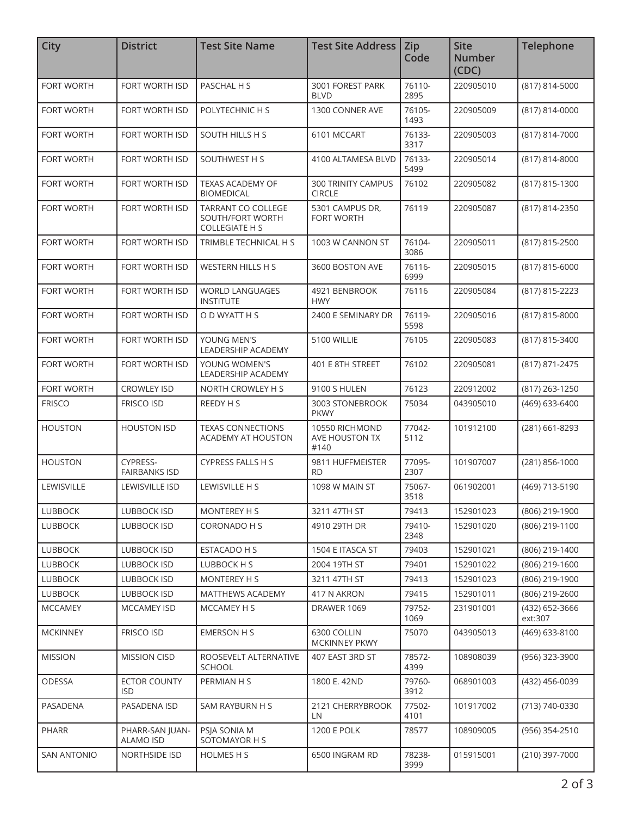| <b>City</b>        | <b>District</b>                     | <b>Test Site Name</b>                                                  | <b>Test Site Address</b>                   | <b>Zip</b><br>Code | <b>Site</b><br><b>Number</b><br>(CDC) | Telephone                 |
|--------------------|-------------------------------------|------------------------------------------------------------------------|--------------------------------------------|--------------------|---------------------------------------|---------------------------|
| <b>FORT WORTH</b>  | FORT WORTH ISD                      | PASCHAL H S                                                            | 3001 FOREST PARK<br><b>BLVD</b>            | 76110-<br>2895     | 220905010                             | (817) 814-5000            |
| <b>FORT WORTH</b>  | FORT WORTH ISD                      | POLYTECHNIC H S                                                        | 1300 CONNER AVE                            | 76105-<br>1493     | 220905009                             | (817) 814-0000            |
| <b>FORT WORTH</b>  | FORT WORTH ISD                      | SOUTH HILLS H S                                                        | 6101 MCCART                                | 76133-<br>3317     | 220905003                             | (817) 814-7000            |
| FORT WORTH         | FORT WORTH ISD                      | SOUTHWEST H S                                                          | 4100 ALTAMESA BLVD                         | 76133-<br>5499     | 220905014                             | (817) 814-8000            |
| <b>FORT WORTH</b>  | FORT WORTH ISD                      | <b>TEXAS ACADEMY OF</b><br><b>BIOMEDICAL</b>                           | <b>300 TRINITY CAMPUS</b><br><b>CIRCLE</b> | 76102              | 220905082                             | (817) 815-1300            |
| <b>FORT WORTH</b>  | FORT WORTH ISD                      | <b>TARRANT CO COLLEGE</b><br>SOUTH/FORT WORTH<br><b>COLLEGIATE H S</b> | 5301 CAMPUS DR,<br><b>FORT WORTH</b>       | 76119              | 220905087                             | (817) 814-2350            |
| <b>FORT WORTH</b>  | FORT WORTH ISD                      | TRIMBLE TECHNICAL H S                                                  | 1003 W CANNON ST                           | 76104-<br>3086     | 220905011                             | (817) 815-2500            |
| <b>FORT WORTH</b>  | <b>FORT WORTH ISD</b>               | <b>WESTERN HILLS H S</b>                                               | 3600 BOSTON AVE                            | 76116-<br>6999     | 220905015                             | (817) 815-6000            |
| <b>FORT WORTH</b>  | <b>FORT WORTH ISD</b>               | <b>WORLD LANGUAGES</b><br><b>INSTITUTE</b>                             | 4921 BENBROOK<br><b>HWY</b>                | 76116              | 220905084                             | (817) 815-2223            |
| FORT WORTH         | FORT WORTH ISD                      | O D WYATT H S                                                          | 2400 E SEMINARY DR                         | 76119-<br>5598     | 220905016                             | (817) 815-8000            |
| FORT WORTH         | FORT WORTH ISD                      | YOUNG MEN'S<br>LEADERSHIP ACADEMY                                      | 5100 WILLIE                                | 76105              | 220905083                             | (817) 815-3400            |
| <b>FORT WORTH</b>  | FORT WORTH ISD                      | YOUNG WOMEN'S<br>LEADERSHIP ACADEMY                                    | 401 E 8TH STREET                           | 76102              | 220905081                             | (817) 871-2475            |
| <b>FORT WORTH</b>  | <b>CROWLEY ISD</b>                  | NORTH CROWLEY H S                                                      | 9100 S HULEN                               | 76123              | 220912002                             | (817) 263-1250            |
| <b>FRISCO</b>      | <b>FRISCO ISD</b>                   | REEDY H S                                                              | 3003 STONEBROOK<br><b>PKWY</b>             | 75034              | 043905010                             | (469) 633-6400            |
| <b>HOUSTON</b>     | <b>HOUSTON ISD</b>                  | <b>TEXAS CONNECTIONS</b><br><b>ACADEMY AT HOUSTON</b>                  | 10550 RICHMOND<br>AVE HOUSTON TX<br>#140   | 77042-<br>5112     | 101912100                             | (281) 661-8293            |
| <b>HOUSTON</b>     | CYPRESS-<br><b>FAIRBANKS ISD</b>    | <b>CYPRESS FALLS H S</b>                                               | 9811 HUFFMEISTER<br><b>RD</b>              | 77095-<br>2307     | 101907007                             | (281) 856-1000            |
| LEWISVILLE         | LEWISVILLE ISD                      | LEWISVILLE H S                                                         | 1098 W MAIN ST                             | 75067-<br>3518     | 061902001                             | (469) 713-5190            |
| <b>LUBBOCK</b>     | <b>LUBBOCK ISD</b>                  | MONTEREY H S                                                           | 3211 47TH ST                               | 79413              | 152901023                             | (806) 219-1900            |
| <b>LUBBOCK</b>     | <b>LUBBOCK ISD</b>                  | CORONADO H S                                                           | 4910 29TH DR                               | 79410-<br>2348     | 152901020                             | (806) 219-1100            |
| <b>LUBBOCK</b>     | LUBBOCK ISD                         | ESTACADO H S                                                           | 1504 E ITASCA ST                           | 79403              | 152901021                             | (806) 219-1400            |
| <b>LUBBOCK</b>     | <b>LUBBOCK ISD</b>                  | LUBBOCK H S                                                            | 2004 19TH ST                               | 79401              | 152901022                             | (806) 219-1600            |
| <b>LUBBOCK</b>     | <b>LUBBOCK ISD</b>                  | <b>MONTEREY H S</b>                                                    | 3211 47TH ST                               | 79413              | 152901023                             | (806) 219-1900            |
| <b>LUBBOCK</b>     | LUBBOCK ISD                         | <b>MATTHEWS ACADEMY</b>                                                | 417 N AKRON                                | 79415              | 152901011                             | (806) 219-2600            |
| <b>MCCAMEY</b>     | <b>MCCAMEY ISD</b>                  | MCCAMEY H S                                                            | DRAWER 1069                                | 79752-<br>1069     | 231901001                             | (432) 652-3666<br>ext:307 |
| <b>MCKINNEY</b>    | <b>FRISCO ISD</b>                   | EMERSON H S                                                            | 6300 COLLIN<br><b>MCKINNEY PKWY</b>        | 75070              | 043905013                             | (469) 633-8100            |
| <b>MISSION</b>     | <b>MISSION CISD</b>                 | ROOSEVELT ALTERNATIVE<br><b>SCHOOL</b>                                 | 407 EAST 3RD ST                            | 78572-<br>4399     | 108908039                             | (956) 323-3900            |
| ODESSA             | <b>ECTOR COUNTY</b><br><b>ISD</b>   | PERMIAN H S                                                            | 1800 E. 42ND                               | 79760-<br>3912     | 068901003                             | (432) 456-0039            |
| PASADENA           | PASADENA ISD                        | SAM RAYBURN H S                                                        | 2121 CHERRYBROOK<br>LN.                    | 77502-<br>4101     | 101917002                             | (713) 740-0330            |
| PHARR              | PHARR-SAN JUAN-<br><b>ALAMO ISD</b> | PSIA SONIA M<br>SOTOMAYOR H S                                          | <b>1200 E POLK</b>                         | 78577              | 108909005                             | (956) 354-2510            |
| <b>SAN ANTONIO</b> | <b>NORTHSIDE ISD</b>                | HOLMES H S                                                             | 6500 INGRAM RD                             | 78238-<br>3999     | 015915001                             | (210) 397-7000            |